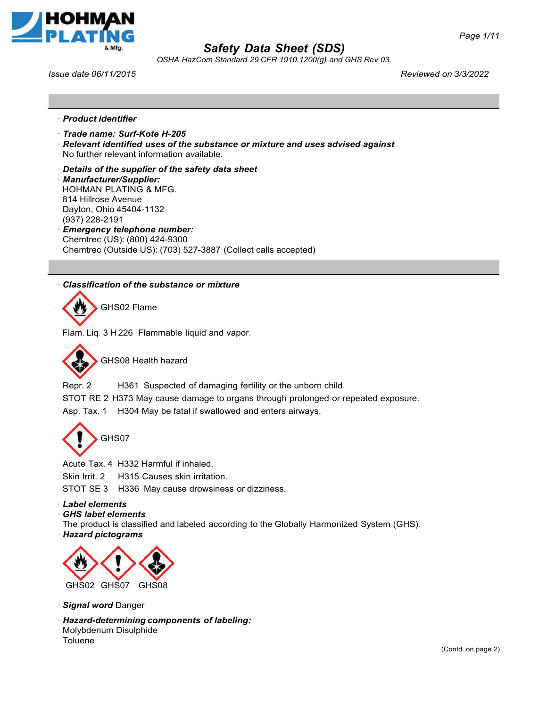



*OSHA HazCom Standard 29 CFR 1910.1200(g) and GHS Rev 03.*

*Issue date 06/11/2015 Reviewed on 3/3/2022*

- ꞏ *Product identifier*
- ꞏ *Trade name: Surf-Kote H-205*
- ꞏ *Relevant identified uses of the substance or mixture and uses advised against* No further relevant information available.
- ꞏ *Details of the supplier of the safety data sheet*
- ꞏ *Manufacturer/Supplier:* HOHMAN PLATING & MFG. 814 Hillrose Avenue
- Dayton, Ohio 45404-1132 (937) 228-2191
- ꞏ *Emergency telephone number:* Chemtrec (US): (800) 424-9300 Chemtrec (Outside US): (703) 527-3887 (Collect calls accepted)

## ꞏ *Classification of the substance or mixture*

GHS02 Flame

Flam. Liq. 3 H 226 Flammable liquid and vapor.



GHS08 Health hazard

Repr. 2 H361 Suspected of damaging fertility or the unborn child.

STOT RE 2 H373 May cause damage to organs through prolonged or repeated exposure. Asp. Tax. 1 H304 May be fatal if swallowed and enters airways.



Acute Tax. 4 H332 Harmful if inhaled.

Skin Irrit. 2 H315 Causes skin irritation.

STOT SE 3 H336 May cause drowsiness or dizziness.

ꞏ *Label elements*

ꞏ *GHS label elements*

The product is classified and labeled according to the Globally Harmonized System (GHS).

ꞏ *Hazard pictograms*



- ꞏ *Signal word* Danger
- ꞏ *Hazard-determining components of labeling:* Molybdenum Disulphide Toluene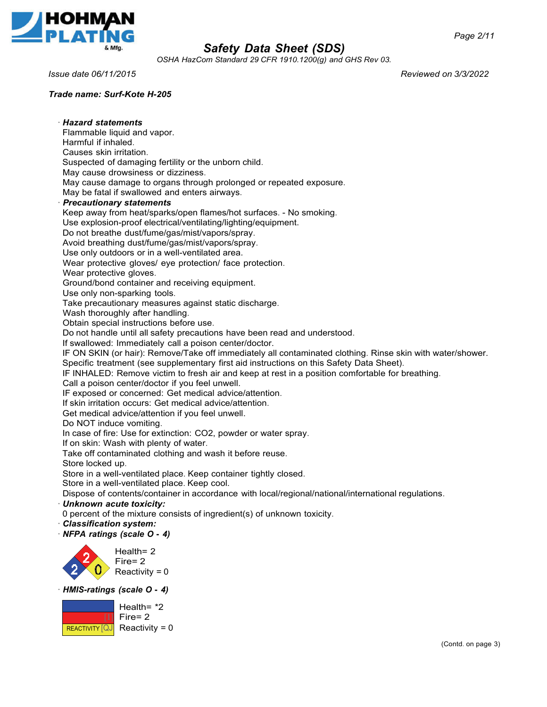

*OSHA HazCom Standard 29 CFR 1910.1200(g) and GHS Rev 03.*

*Issue date 06/11/2015 Reviewed on 3/3/2022*

*Trade name: Surf-Kote H-205*

ꞏ *Hazard statements*  Flammable liquid and vapor. Harmful if inhaled. Causes skin irritation. Suspected of damaging fertility or the unborn child. May cause drowsiness or dizziness. May cause damage to organs through prolonged or repeated exposure. May be fatal if swallowed and enters airways. ꞏ *Precautionary statements* Keep away from heat/sparks/open flames/hot surfaces. - No smoking. Use explosion-proof electrical/ventilating/lighting/equipment. Do not breathe dust/fume/gas/mist/vapors/spray. Avoid breathing dust/fume/gas/mist/vapors/spray. Use only outdoors or in a well-ventilated area. Wear protective gloves/ eye protection/ face protection. Wear protective gloves. Ground/bond container and receiving equipment. Use only non-sparking tools. Take precautionary measures against static discharge. Wash thoroughly after handling. Obtain special instructions before use. Do not handle until all safety precautions have been read and understood. If swallowed: Immediately call a poison center/doctor. IF ON SKIN (or hair): Remove/Take off immediately all contaminated clothing. Rinse skin with water/shower. Specific treatment (see supplementary first aid instructions on this Safety Data Sheet). IF INHALED: Remove victim to fresh air and keep at rest in a position comfortable for breathing. Call a poison center/doctor if you feel unwell. IF exposed or concerned: Get medical advice/attention. If skin irritation occurs: Get medical advice/attention. Get medical advice/attention if you feel unwell. Do NOT induce vomiting. In case of fire: Use for extinction: CO2, powder or water spray. If on skin: Wash with plenty of water. Take off contaminated clothing and wash it before reuse. Store locked up. Store in a well-ventilated place. Keep container tightly closed. Store in a well-ventilated place. Keep cool. Dispose of contents/container in accordance with local/regional/national/international regulations. ꞏ *Unknown acute toxicity:* 0 percent of the mixture consists of ingredient(s) of unknown toxicity. ꞏ *Classification system:* ꞏ *NFPA ratings (scale O* **-** *4)* Health= 2 Fire= 2 Reactivity  $= 0$ ꞏ *HMIS-ratings (scale O* **-** *4)* Health= \*2 Fire= 2 Reactivity  $= 0$ REACTIVITY [QJ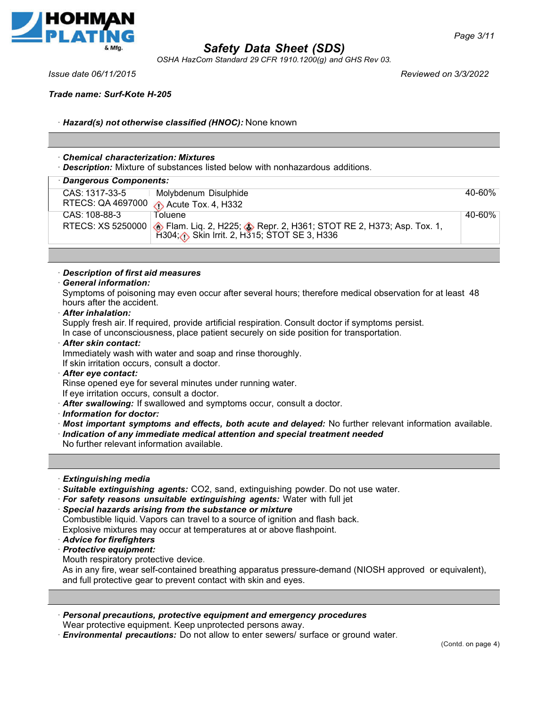

*OSHA HazCom Standard 29 CFR 1910.1200(g) and GHS Rev 03.*

*Issue date 06/11/2015 Reviewed on 3/3/2022*

*Trade name: Surf-Kote H-205*

ꞏ *Hazard(s) not otherwise classified (HNOC):* None known

### ꞏ *Chemical characterization: Mixtures*

ꞏ *Description:* Mixture of substances listed below with nonhazardous additions.

| Dangerous Components: |                                                                                                                                                          |        |
|-----------------------|----------------------------------------------------------------------------------------------------------------------------------------------------------|--------|
| CAS: 1317-33-5        | Molybdenum Disulphide                                                                                                                                    | 40-60% |
|                       | RTECS: QA 4697000 A Acute Tox. 4, H332                                                                                                                   |        |
| CAS: 108-88-3         | Toluene                                                                                                                                                  | 40-60% |
|                       | RTECS: XS 5250000 <b>6</b> Flam. Liq. 2, H225; <b>3</b> Repr. 2, H361; STOT RE 2, H373; Asp. Tox. 1, H304; <b>6</b> Skin Irrit. 2, H315; STOT SE 3, H336 |        |

### ꞏ *Description of first aid measures*

## ꞏ *General information:*

Symptoms of poisoning may even occur after several hours; therefore medical observation for at least 48 hours after the accident.

ꞏ *After inhalation:*

Supply fresh air. If required, provide artificial respiration. Consult doctor if symptoms persist. In case of unconsciousness, place patient securely on side position for transportation.

- ꞏ *After skin contact:*
- Immediately wash with water and soap and rinse thoroughly.

If skin irritation occurs, consult a doctor.

ꞏ *After eye contact:*

Rinse opened eye for several minutes under running water.

If eye irritation occurs, consult a doctor.

- ꞏ *After swallowing:* If swallowed and symptoms occur, consult a doctor.
- ꞏ *Information for doctor:*
- ꞏ *Most important symptoms and effects, both acute and delayed:* No further relevant information available.
- ꞏ *Indication of any immediate medical attention and special treatment needed*

No further relevant information available.

- ꞏ *Extinguishing media*
- ꞏ *Suitable extinguishing agents:* CO2, sand, extinguishing powder. Do not use water.
- ꞏ *For safety reasons unsuitable extinguishing agents:* Water with full jet
- ꞏ *Special hazards arising from the substance or mixture*

Combustible liquid. Vapors can travel to a source of ignition and flash back.

Explosive mixtures may occur at temperatures at or above flashpoint.

- ꞏ *Advice for firefighters*
- ꞏ *Protective equipment:*

Mouth respiratory protective device.

As in any fire, wear self-contained breathing apparatus pressure-demand (NIOSH approved or equivalent), and full protective gear to prevent contact with skin and eyes.

- ꞏ *Personal precautions, protective equipment and emergency procedures* Wear protective equipment. Keep unprotected persons away.
- ꞏ *Environmental precautions:* Do not allow to enter sewers/ surface or ground water.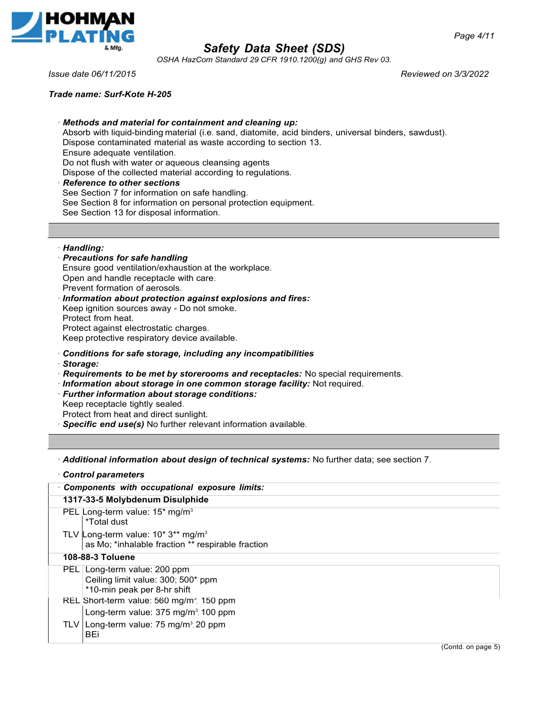

*OSHA HazCom Standard 29 CFR 1910.1200(g) and GHS Rev 03.*

*Issue date 06/11/2015 Reviewed on 3/3/2022*

*Trade name: Surf-Kote H-205*

ꞏ *Methods and material for containment and cleaning up:* Absorb with liquid-binding material (i.e. sand, diatomite, acid binders, universal binders, sawdust). Dispose contaminated material as waste according to section 13. Ensure adequate ventilation. Do not flush with water or aqueous cleansing agents Dispose of the collected material according to regulations. ꞏ *Reference to other sections* See Section 7 for information on safe handling. See Section 8 for information on personal protection equipment. See Section 13 for disposal information.

ꞏ *Handling:*

### ꞏ *Precautions for safe handling* Ensure good ventilation/exhaustion at the workplace. Open and handle receptacle with care. Prevent formation of aerosols.

ꞏ *Information about protection against explosions and fires:* Keep ignition sources away - Do not smoke. Protect from heat. Protect against electrostatic charges. Keep protective respiratory device available.

## ꞏ *Conditions for safe storage, including any incompatibilities*

- ꞏ *Storage:*
- ꞏ *Requirements to be met by storerooms and receptacles:* No special requirements.
- ꞏ *Information about storage in one common storage facility:* Not required.
- ꞏ *Further information about storage conditions:*

Keep receptacle tightly sealed.

Protect from heat and direct sunlight.

ꞏ *Specific end use(s)* No further relevant information available.

ꞏ *Additional information about design of technical systems:* No further data; see section 7.

|                         | <b>Control parameters</b>                                                                                |  |  |
|-------------------------|----------------------------------------------------------------------------------------------------------|--|--|
|                         | Components with occupational exposure limits:                                                            |  |  |
|                         | 1317-33-5 Molybdenum Disulphide                                                                          |  |  |
|                         | PEL Long-term value: 15* mg/m <sup>3</sup><br>*Total dust                                                |  |  |
|                         | TLV Long-term value: $10^*3^{**}$ mg/m <sup>3</sup><br>as Mo; *inhalable fraction ** respirable fraction |  |  |
| <b>108-88-3 Toluene</b> |                                                                                                          |  |  |
|                         | PEL Long-term value: 200 ppm<br>Ceiling limit value: 300; 500* ppm<br>*10-min peak per 8-hr shift        |  |  |
|                         | REL Short-term value: $560 \text{ mg/m}^3$ , 150 ppm                                                     |  |  |
|                         | Long-term value: 375 mg/m <sup>3</sup> , 100 ppm                                                         |  |  |
|                         | TLV   Long-term value: 75 mg/m <sup>3</sup> , 20 ppm<br>BEi                                              |  |  |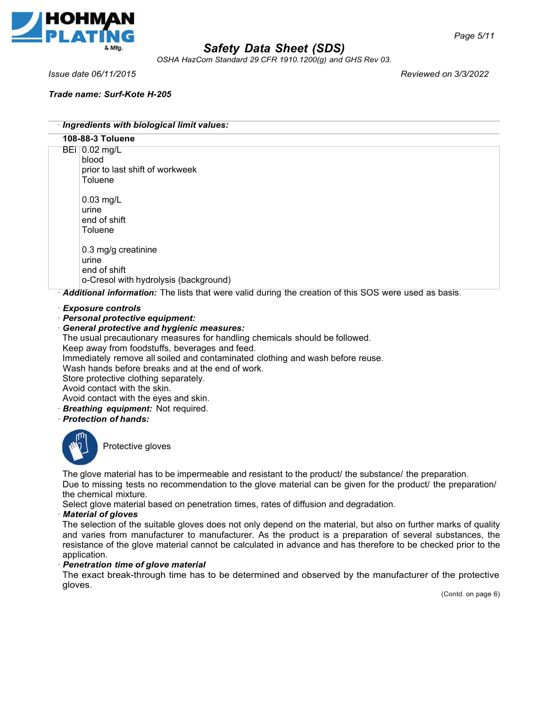

*OSHA HazCom Standard 29 CFR 1910.1200(g) and GHS Rev 03.*

*Trade name: Surf-Kote H-205*

*Issue date 06/11/2015 Reviewed on 3/3/2022*

ꞏ *Ingredients with biological limit values:* **108-88-3 Toluene** ꞏ *Additional information:* The lists that were valid during the creation of this SOS were used as basis. 0.02 mg/L BEiblood prior to last shift of workweek Toluene 0.03 mg/L urine end of shift **Toluene** 0.3 mg/g creatinine urine end of shift o-Cresol with hydrolysis (background)

ꞏ *Exposure controls*

ꞏ *Personal protective equipment:*

### ꞏ *General protective and hygienic measures:*

The usual precautionary measures for handling chemicals should be followed.

Keep away from foodstuffs, beverages and feed.

Immediately remove all soiled and contaminated clothing and wash before reuse.

Wash hands before breaks and at the end of work.

Store protective clothing separately.

Avoid contact with the skin.

- Avoid contact with the eyes and skin.
- ꞏ *Breathing equipment:* Not required.
- ꞏ *Protection of hands:*



Protective gloves

The glove material has to be impermeable and resistant to the product/ the substance/ the preparation. Due to missing tests no recommendation to the glove material can be given for the product/ the preparation/ the chemical mixture.

Select glove material based on penetration times, rates of diffusion and degradation.

#### ꞏ *Material of gloves*

The selection of the suitable gloves does not only depend on the material, but also on further marks of quality and varies from manufacturer to manufacturer. As the product is a preparation of several substances, the resistance of the glove material cannot be calculated in advance and has therefore to be checked prior to the application.

### ꞏ *Penetration time of glove material*

The exact break-through time has to be determined and observed by the manufacturer of the protective gloves.

(Contd. on page 6)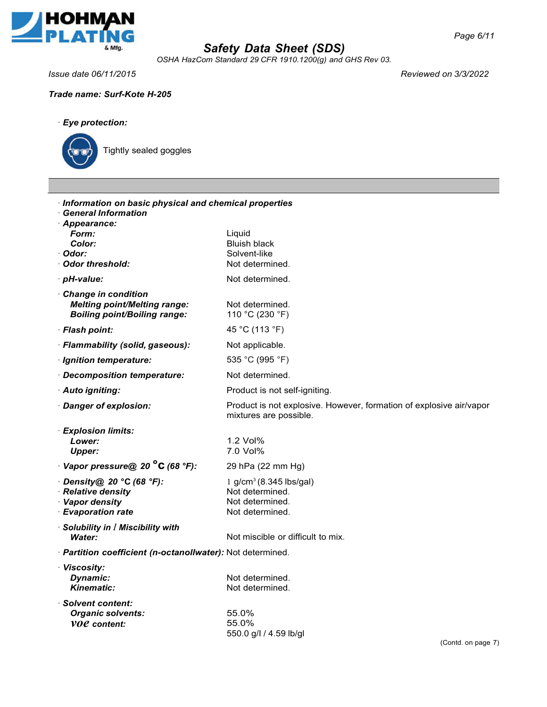

*OSHA HazCom Standard 29 CFR 1910.1200(g) and GHS Rev 03.*

*Issue date 06/11/2015 Reviewed on 3/3/2022*

*Trade name: Surf-Kote H-205*



Tightly sealed goggles

| Information on basic physical and chemical properties<br><b>General Information</b><br>· Appearance: |                                                                                               |
|------------------------------------------------------------------------------------------------------|-----------------------------------------------------------------------------------------------|
| Form:                                                                                                | Liquid                                                                                        |
| Color:                                                                                               | <b>Bluish black</b>                                                                           |
| Odor:<br>∙ Odor threshold:                                                                           | Solvent-like<br>Not determined.                                                               |
| · pH-value:                                                                                          | Not determined.                                                                               |
| Change in condition<br><b>Melting point/Melting range:</b><br><b>Boiling point/Boiling range:</b>    | Not determined.<br>110 °C (230 °F)                                                            |
| · Flash point:                                                                                       | 45 °C (113 °F)                                                                                |
| · Flammability (solid, gaseous):                                                                     | Not applicable.                                                                               |
| · Ignition temperature:                                                                              | 535 °C (995 °F)                                                                               |
| Decomposition temperature:                                                                           | Not determined.                                                                               |
| · Auto igniting:                                                                                     | Product is not self-igniting.                                                                 |
| · Danger of explosion:                                                                               | Product is not explosive. However, formation of explosive air/vapor<br>mixtures are possible. |
| <b>Explosion limits:</b>                                                                             |                                                                                               |
| Lower:                                                                                               | 1.2 Vol%<br>7.0 Vol%                                                                          |
| Upper:<br>$\cdot$ Vapor pressure@ 20 $^{\circ}$ C (68 $^{\circ}$ F):                                 | 29 hPa (22 mm Hg)                                                                             |
| Density@ 20 °C (68 °F):                                                                              | $1$ g/cm <sup>3</sup> (8.345 lbs/gal)                                                         |
| <b>Relative density</b>                                                                              | Not determined.                                                                               |
| · Vapor density                                                                                      | Not determined.                                                                               |
| · Evaporation rate                                                                                   | Not determined.                                                                               |
| $\cdot$ Solubility in $I$ Miscibility with                                                           |                                                                                               |
| Water:                                                                                               | Not miscible or difficult to mix.                                                             |
| · Partition coefficient (n-octanollwater): Not determined.                                           |                                                                                               |
| · Viscosity:                                                                                         |                                                                                               |
| Dynamic:<br><b>Kinematic:</b>                                                                        | Not determined.                                                                               |
|                                                                                                      | Not determined.                                                                               |
| <b>Solvent content:</b>                                                                              |                                                                                               |
| <b>Organic solvents:</b><br><i>VOC</i> content:                                                      | 55.0%<br>55.0%                                                                                |
|                                                                                                      | 550.0 g/l / 4.59 lb/gl                                                                        |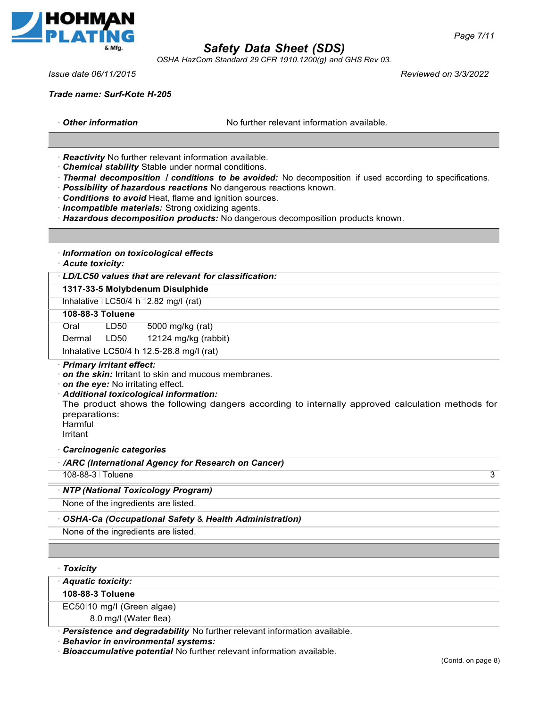

*OSHA HazCom Standard 29 CFR 1910.1200(g) and GHS Rev 03.*

*Issue date 06/11/2015 Reviewed on 3/3/2022*

*Page 7/11*

*Trade name: Surf-Kote H-205*

**Other information No further relevant information available.** 

ꞏ *Reactivity* No further relevant information available.

- ꞏ *Chemical stability* Stable under normal conditions.
- ꞏ *Thermal decomposition I conditions to be avoided:* No decomposition if used according to specifications.
- ꞏ *Possibility of hazardous reactions* No dangerous reactions known.
- ꞏ *Conditions to avoid* Heat, flame and ignition sources.
- ꞏ *Incompatible materials:* Strong oxidizing agents.
- ꞏ *Hazardous decomposition products:* No dangerous decomposition products known.

| · Information on toxicological effects<br>· Acute toxicity:                                                                                                                                                                                                                                                        |
|--------------------------------------------------------------------------------------------------------------------------------------------------------------------------------------------------------------------------------------------------------------------------------------------------------------------|
| LD/LC50 values that are relevant for classification:                                                                                                                                                                                                                                                               |
| 1317-33-5 Molybdenum Disulphide                                                                                                                                                                                                                                                                                    |
| Inhalative $ $ LC50/4 h 12.82 mg/l (rat)                                                                                                                                                                                                                                                                           |
| 108-88-3 Toluene                                                                                                                                                                                                                                                                                                   |
| Oral<br>5000 mg/kg (rat)<br>LD50                                                                                                                                                                                                                                                                                   |
| LD50<br>12124 mg/kg (rabbit)<br>Dermal                                                                                                                                                                                                                                                                             |
| Inhalative LC50/4 h 12.5-28.8 mg/l (rat)                                                                                                                                                                                                                                                                           |
| $\cdot$ on the skin: Irritant to skin and mucous membranes.<br>on the eye: No irritating effect.<br>· Additional toxicological information:<br>The product shows the following dangers according to internally approved calculation methods for<br>preparations:<br>Harmful<br>Irritant<br>Carcinogenic categories |
| · /ARC (International Agency for Research on Cancer)                                                                                                                                                                                                                                                               |
| 108-88-3   Toluene<br>3                                                                                                                                                                                                                                                                                            |
| · NTP (National Toxicology Program)                                                                                                                                                                                                                                                                                |
| None of the ingredients are listed.                                                                                                                                                                                                                                                                                |
| OSHA-Ca (Occupational Safety & Health Administration)                                                                                                                                                                                                                                                              |
| None of the ingredients are listed.                                                                                                                                                                                                                                                                                |

|  | <b>Toxicity</b> |  |
|--|-----------------|--|
|--|-----------------|--|

| · Aquatic toxicity:                              |  |
|--------------------------------------------------|--|
| 108-88-3 Toluene                                 |  |
| EC50110 mg/l (Green algae)                       |  |
| $\sim$ $\sim$ $\sim$ $\sim$ $\sim$ $\sim$ $\sim$ |  |

8.0 mg/I (Water flea)

ꞏ *Persistence and degradability* No further relevant information available.

- ꞏ *Behavior in environmental systems:*
- ꞏ *Bioaccumulative potential* No further relevant information available.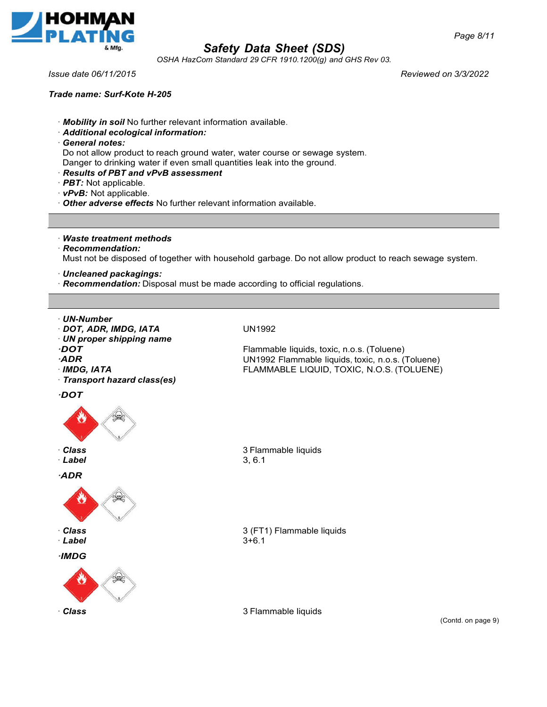

*OSHA HazCom Standard 29 CFR 1910.1200(g) and GHS Rev 03.*

*Issue date 06/11/2015 Reviewed on 3/3/2022*

### *Trade name: Surf-Kote H-205*

- ꞏ *Mobility in soil* No further relevant information available.
- ꞏ *Additional ecological information:*
- ꞏ *General notes:*

Do not allow product to reach ground water, water course or sewage system. Danger to drinking water if even small quantities leak into the ground.

- ꞏ *Results of PBT and vPvB assessment*
- ꞏ *PBT:* Not applicable.

ꞏ *vPvB:* Not applicable.

ꞏ *Other adverse effects* No further relevant information available.

ꞏ *Waste treatment methods*

- ꞏ *Recommendation:* Must not be disposed of together with household garbage. Do not allow product to reach sewage system.
- ꞏ *Uncleaned packagings:*
- ꞏ *Recommendation:* Disposal must be made according to official regulations.
- ꞏ *UN-Number*
- ꞏ *DOT, ADR, IMDG, IATA*
- ꞏ *UN proper shipping name*
- *ꞏDOT*
- *ꞏADR*
- ꞏ *IMDG, IATA*
- ꞏ *Transport hazard class(es)*
- *ꞏDOT*



- ꞏ *Class*
- ꞏ *Label*

*ꞏADR*



- ꞏ *Class*
- ꞏ *Label*
- *ꞏIMDG*



UN1992

Flammable liquids, toxic, n.o.s. (Toluene) UN1992 Flammable liquids, toxic, n.o.s. (Toluene) FLAMMABLE LIQUID, TOXIC, N.O.S. (TOLUENE)

3 Flammable liquids 3, 6.1

3 (FT1) Flammable liquids  $3+6.1$ 

**Class 3 Flammable liquids** 

(Contd. on page 9)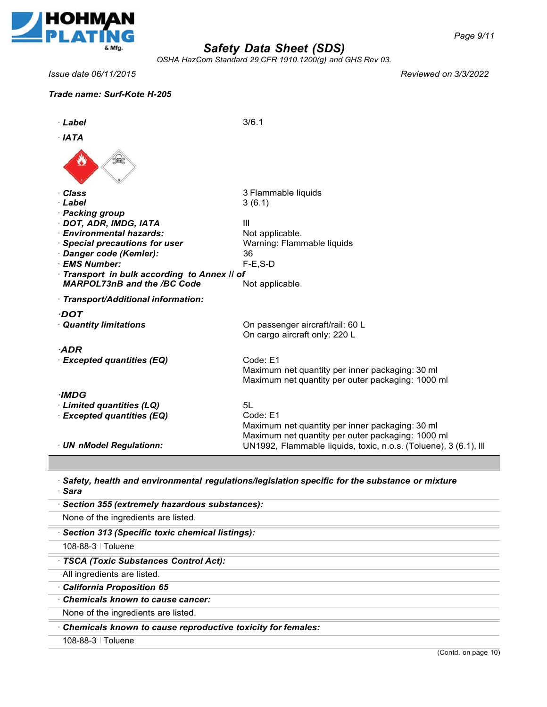

*OSHA HazCom Standard 29 CFR 1910.1200(g) and GHS Rev 03.*

*Issue date 06/11/2015 Reviewed on 3/3/2022*

## *Trade name: Surf-Kote H-205*

| · Label                                     | 3/6.1                                                            |
|---------------------------------------------|------------------------------------------------------------------|
| $·$ IATA                                    |                                                                  |
|                                             |                                                                  |
| <b>Class</b>                                | 3 Flammable liquids                                              |
| Label                                       | 3(6.1)                                                           |
| <b>Packing group</b>                        |                                                                  |
| DOT, ADR, IMDG, IATA                        | Ш                                                                |
| <b>Environmental hazards:</b>               | Not applicable.                                                  |
| <b>Special precautions for user</b>         | Warning: Flammable liquids                                       |
| Danger code (Kemler):<br><b>EMS Number:</b> | 36<br>$F-E$ , S-D                                                |
| Transport in bulk according to Annex II of  |                                                                  |
| <b>MARPOL73nB and the /BC Code</b>          | Not applicable.                                                  |
| Transport/Additional information:           |                                                                  |
| ·DOT                                        |                                                                  |
| <b>Quantity limitations</b>                 | On passenger aircraft/rail: 60 L                                 |
|                                             | On cargo aircraft only: 220 L                                    |
| $-ADR$                                      |                                                                  |
| <b>Excepted quantities (EQ)</b>             | Code: E1                                                         |
|                                             | Maximum net quantity per inner packaging: 30 ml                  |
|                                             | Maximum net quantity per outer packaging: 1000 ml                |
| ·IMDG                                       |                                                                  |
| · Limited quantities (LQ)                   | 5L                                                               |
| <b>Excepted quantities (EQ)</b>             | Code: E1                                                         |
|                                             | Maximum net quantity per inner packaging: 30 ml                  |
|                                             | Maximum net quantity per outer packaging: 1000 ml                |
| <b>UN nModel Regulationn:</b>               | UN1992, Flammable liquids, toxic, n.o.s. (Toluene), 3 (6.1), Ill |
|                                             |                                                                  |

ꞏ *Safety, health and environmental regulations/legislation specific for the substance or mixture* ꞏ *Sara*

| · Section 355 (extremely hazardous substances):             |  |
|-------------------------------------------------------------|--|
| None of the ingredients are listed.                         |  |
| Section 313 (Specific toxic chemical listings):             |  |
| 108-88-3   Toluene                                          |  |
| · TSCA (Toxic Substances Control Act):                      |  |
| All ingredients are listed.                                 |  |
| California Proposition 65                                   |  |
| Chemicals known to cause cancer:                            |  |
| None of the ingredients are listed.                         |  |
| Chemicals known to cause reproductive toxicity for females: |  |
| 108-88-3   Toluene                                          |  |
|                                                             |  |

(Contd. on page 10)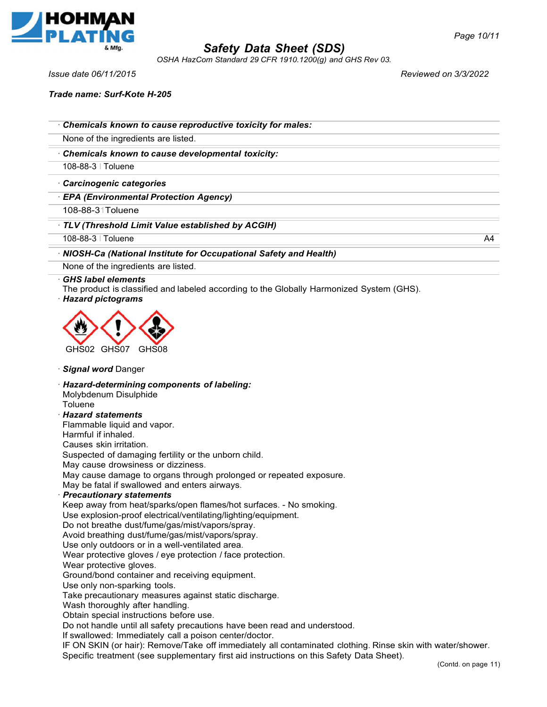

*OSHA HazCom Standard 29 CFR 1910.1200(g) and GHS Rev 03.*

*Page 10/11*

*Issue date 06/11/2015 Reviewed on 3/3/2022*

*Trade name: Surf-Kote H-205*

ꞏ *Chemicals known to cause reproductive toxicity for males:*

None of the ingredients are listed.

ꞏ *Chemicals known to cause developmental toxicity:*

108-88-3 I Toluene

ꞏ *Carcinogenic categories*

ꞏ *EPA (Environmental Protection Agency)*

108-88-31Toluene

ꞏ *TLV (Threshold Limit Value established by ACGIH)*

108-88-3 I Toluene A4

### ꞏ *NIOSH-Ca (National Institute for Occupational Safety and Health)*

None of the ingredients are listed.

#### ꞏ *GHS label elements*

The product is classified and labeled according to the Globally Harmonized System (GHS).

ꞏ *Hazard pictograms*



ꞏ *Signal word* Danger

ꞏ *Hazard-determining components of labeling:*

Molybdenum Disulphide

**Toluene** 

ꞏ *Hazard statements* 

Flammable liquid and vapor.

Harmful if inhaled.

Causes skin irritation.

Suspected of damaging fertility or the unborn child.

May cause drowsiness or dizziness.

May cause damage to organs through prolonged or repeated exposure.

May be fatal if swallowed and enters airways.

ꞏ *Precautionary statements*

Keep away from heat/sparks/open flames/hot surfaces. - No smoking.

Use explosion-proof electrical/ventilating/lighting/equipment.

Do not breathe dust/fume/gas/mist/vapors/spray.

Avoid breathing dust/fume/gas/mist/vapors/spray.

Use only outdoors or in a well-ventilated area.

Wear protective gloves / eye protection / face protection.

Wear protective gloves.

Ground/bond container and receiving equipment.

Use only non-sparking tools.

Take precautionary measures against static discharge.

Wash thoroughly after handling.

Obtain special instructions before use.

Do not handle until all safety precautions have been read and understood.

If swallowed: Immediately call a poison center/doctor.

IF ON SKIN (or hair): Remove/Take off immediately all contaminated clothing. Rinse skin with water/shower. Specific treatment (see supplementary first aid instructions on this Safety Data Sheet).